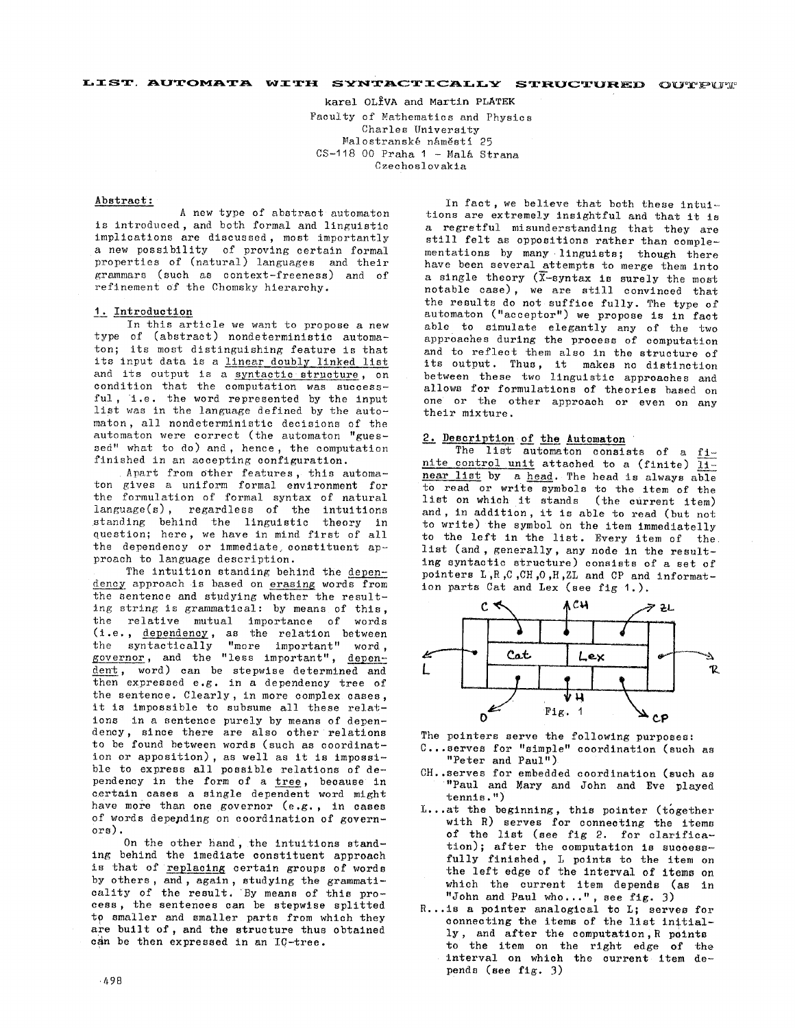## **LIST. AUTOMATA WITH SYNTACTICALLY STRUCTURED OUTPUT**

karel OLIVA and Martin PLATEK Faculty of Mathematics and Physics Charles University Malostranské náměstí 25  $CS-118$  00 Praha 1 - Malá Strana Czechoslovakia

#### Abstract:

A new type of abstract automaton is introduced, and both formal and linguistic implications are discussed, most importantly a new possibility of proving certain formal properties of (natural) languages and their grammars (such as context-freeness) and of refinement of the Chomsky hierarchy.

# I. Introduction

In this article we want to propose a new type of (abstract) nondeterministic automaton; its most distinguishing feature is that its input data is a linear doubly linked list and its output is a syntactic structure, on condition that the computation was successful, i.e. the word represented by the input list was in the language defined by the automaton, all nondeterministic decisions of the automaton were correct (the automaton "guessed" what to do) and, hence, the computation finished in an accepting configuration.

Apart from other features, this automaton gives a uniform formal environment for the formulation of formal syntax of natural language(s), regardless of the intuitions standing behind the linguistic theory in question; here, we have in mind first of all the dependency or immediate constituent approach to language description.

The intuition standing behind the dependency approach is based on  $\overline{}$  erasing words from the sentence and studying whether the resulting string is grammatical: by means of this, the relative mutual importance of words  $(i.e.,  $dependency$ , as the relation between$ the syntactically "more important" word, governor, and the "less important", dent, word) can be stepwise determined and then expressed e.g. in a dependency tree of the sentence. Clearly, in more complex cases, it is impossible to subsume all these relations in a sentence purely by means of dependency, since there are also other relations to be found between words (such as coordination or apposition), as well as it is impossible to express all possible relations of dependency in the form of a tree, because in certain cases a single dependent word might have more than one governor (e.g., in cases of words depending on coordination of govern-Ors).

On the other hand, the intuitions standing behind the imediate constituent approach is that of replacing certain groups of words by others, and, again, studying the grammaticality of the result. By means of this process, the sentences can be stepwise splitted to smaller and smaller parts from which they are built of, and the structure thus obtained can be then expressed in an IC-tree.

In fact, we believe that both these intuitions are extremely insightful and that it is a regretful misunderstanding that they are still felt as oppositions rather than complementations by many linguists; though there have been several attempts to merge them into a single theory  $(\overline{X}-s$ notable case), we are still convinced that the results do not suffice fully. The type of automaton ("accepter") we propose is in fact able to simulate elegantly any of the two approaches during the process of computation and to reflect them also in the structure of its output. Thus, it makes no distinction between these two linguistic approaches and allows for formulations of theories based on one or the other approach or even on any their mixture.

### 2. Description of the Automaton

The list automaton consists of a finite control unit attached to a (finite)  $\overline{11-}$ near list by a head. The head is always able t0 read or write symbols to the item of the list on which it stands (the current item) and, in addition, it is able to read (but not to write) the symbol on the item immediatelly to the left in the list. Every item of the list (and, generally, any node in the resulting syntactic structure) consists of a set of pointers L ,R ,C ,CH ,0 ,H ,ZL and CP and information parts Cat and Lex (see fig I.).



The pointers serve the following purposes:

- C...serves for "simple" coordination (such as "Peter and Paul")
- CH..serves for embedded coordination (such as "Paul and Mary and John and Eve played tennis. ")
- L...at the beginning, this pointer (together with R) serves for connecting the items of the list (see fig 2. for olarifica $tion)$ ; after the computation is successfully finished, L points to the item on the left edge of the interval of items on which the current item depends (as in "John and Paul who...", see fig. 3)
- R...is a pointer analogical to L; serves for connecting the items of the list initially, and after the computation, R points to the item on the right edge of the interval on which the current item depends (see  $f1g$ . 3)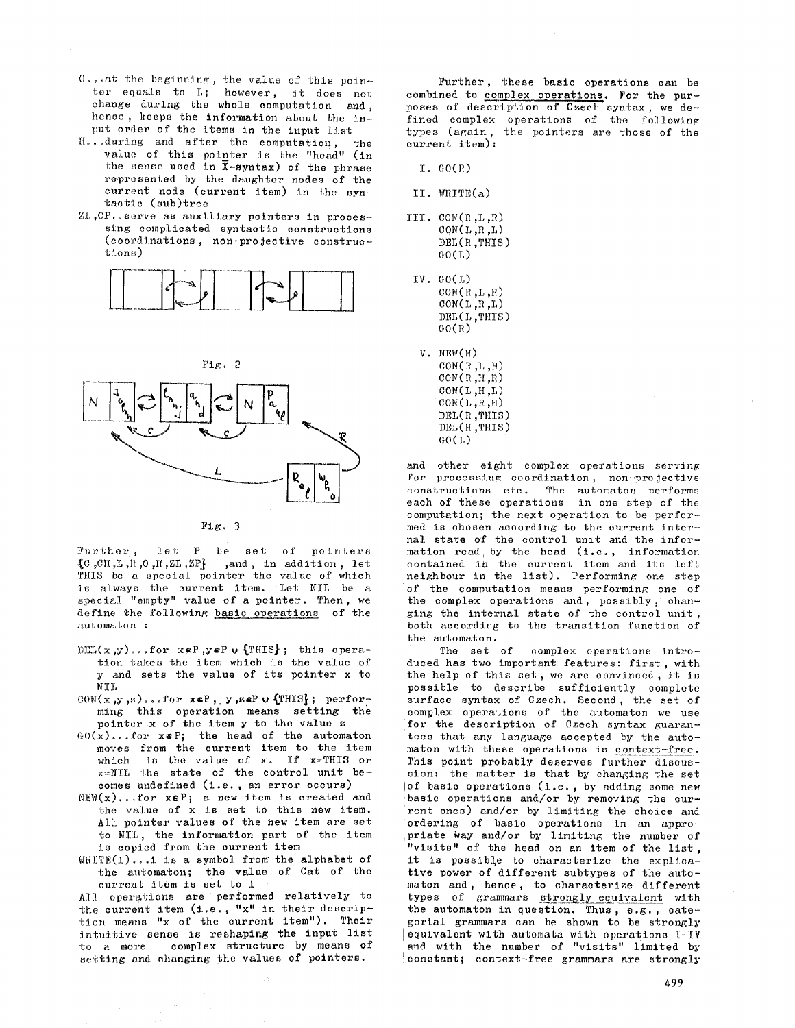- $0.$ ..at the beginning, the value of this pointer equals to L; however, it does not change during the whole computation and , hence, keeps the information about the input order of the items in the input list
- H...during and after the computation, the value of this pointer is the "head" (in the sense used in  $\bar{x}$ -syntax) of the phrase represented by the daughter nodes of the current node (current item) in the syntactic (sub)tree
- $ZL$ , CP. serve as auxiliary pointers in processing complicated syntactic constructions (coordinations, non-projective constructions)



Fig. 2



#### Fig. 3

Further, let P be set of pointers  ${C, \text{CH}, L, R, O, H, ZL, ZP}$  ,and, in addition, let THIS be a special pointer the value of which :is always the current item. Let NIL be a special "empty" value of a pointer. Then, we define the following basic operations of the automaton :

- DEL(x,y)...for  $x \notin P$ ,  $y \notin P$  u  ${\text{THIS}}$ ; this operation takes the item which is the value of y and sets the value of its pointer x to NTT.
- $CON(x,y,z)$ ...for  $x \in P$ , y,zeP v (THIS}; performing this operation means setting the pointcr,x of the item y to the value z
- $GO(x)$ ...for  $x \in P$ ; the head of the automaton moves from the current item to the item which is the value of x. If x=THIS or  $x=NII$  the state of the control unit becomes undefined (i.e., an error occurs)
- $NEW(x) \dots for x \in P$ ; a new item is created and the value of x is set to this new item. All pointer values of the new item are set to NIL, the information part of the item is copied from the current item
- $WRTTE(1)$ ...1 is a symbol from the alphabet of the automaton; the value of Cat of the current Item Is set to i

All operations are performed relatively to the current item  $(i.e., "x" in their descriptor$ tion means "x of the current item"). Their intuitive sense is reshaping the input list to a more complex structure by means of setting and changing the values of pointers.

Further, these basic operations can be combined to complex operations. For the purposes of description of Czech syntax, we defined complex operations of the following types (again, the pointers are those of the current item):

- Z. GO(R)
- II. WRITE(a)
- III. CON(R,L,R)  $CON(L, R, L)$ DEL(R ,THIS)  $G(1)$
- iv. GO(L)  $CON(R, L, R)$  $CON(L, R, L)$ DEL(L ,THIS)  $GO(R)$
- **v. NEW(H)**   $CON(R, L, H)$  $CON(R,H,R)$  $CON(L, H, L)$ CON(L,R ,H) DEL(R ,THIS) DEL(H ,THIS )  $GO(L)$

and other eight complex operations serving for processing coordination, non-projective constructions etc. The automaton performs each of these operations in one step of the computation; the next operation to be performed is chosen according to the current internal state of the control unit and the information read by the head (i.e., information contained in the current item and its left neighbour in the list). Performing one step of the computation means performing one of the complex operations and, possibly, changing the internal state of the control unit, both according to the transition function of the automaton.

The set of complex operations introduced has two important features: first, with the help of this set, we are convinced, it is possible to describe sufficiently complete surface syntax of Czech. Second, the set of complex operations of the automaton we use for the description of Czech syntax guarantees that any language accepted by the automaton with these operations is context-free. This point probably deserves further discussion: the matter is that by changing the set !of basic operations (i.e., by adding some new basic operations and/or by removing the current ones) and/or by limiting the choice and ordering of basic operations in an appro priate way and/or by limiting the number of "visits" of the head on an item of the list, it is possible to characterize the explicative power of different subtypes of the automaton and, hence, to characterize different types of grammars strongly equivalent with the automaton in question. Thus, e.g., categorial grammars can be shown to be strongly equivalent with automata with operations I-IV and with the number of "visits" limited by constant; context-free grammars are strongly